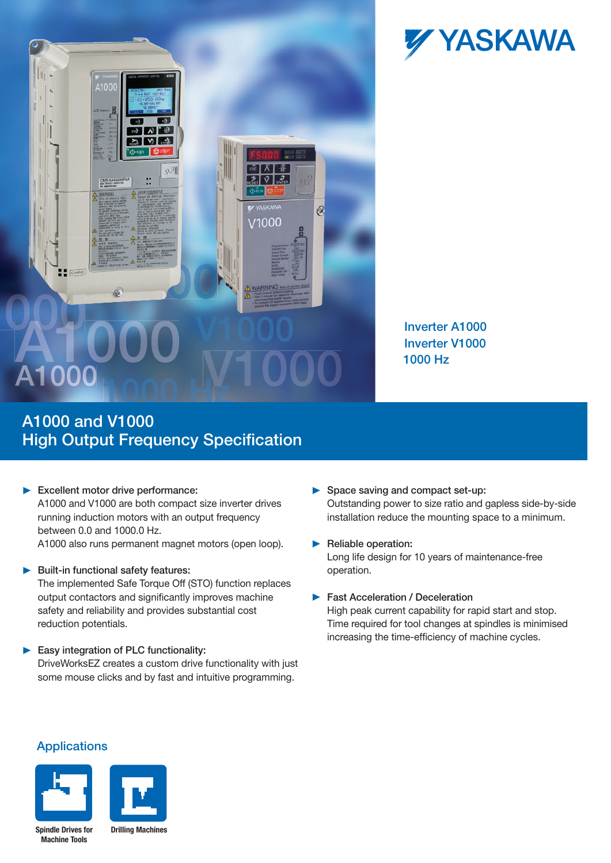



Inverter A1000 Inverter V1000 1000 Hz

## A1000 and V1000 **High Output Frequency Specification**

### Excellent motor drive performance:

A1000 and V1000 are both compact size inverter drives running induction motors with an output frequency between 0.0 and 1000.0 Hz.

A1000 also runs permanent magnet motors (open loop).

#### $\blacktriangleright$  Built-in functional safety features:

The implemented Safe Torque Off (STO) function replaces output contactors and significantly improves machine safety and reliability and provides substantial cost reduction potentials.

### Easy integration of PLC functionality:

DriveWorksEZ creates a custom drive functionality with just some mouse clicks and by fast and intuitive programming.

- Space saving and compact set-up: Outstanding power to size ratio and gapless side-by-side installation reduce the mounting space to a minimum.
- Reliable operation: Long life design for 10 years of maintenance-free operation.
- **Fast Acceleration / Deceleration**

High peak current capability for rapid start and stop. Time required for tool changes at spindles is minimised increasing the time-efficiency of machine cycles.

### Applications



**Spindle Drives for Machine Tools**